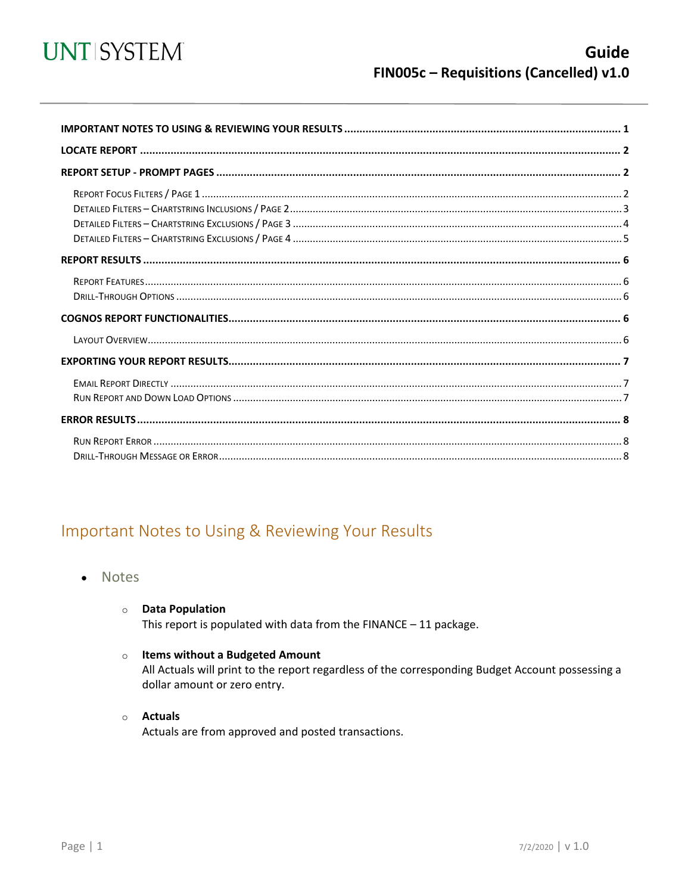

<span id="page-0-0"></span>

## Important Notes to Using & Reviewing Your Results

- Notes  $\bullet$ 
	- **O** Data Population

This report is populated with data from the  $FINANCE - 11$  package.

#### o Items without a Budgeted Amount

All Actuals will print to the report regardless of the corresponding Budget Account possessing a dollar amount or zero entry.

#### o Actuals

Actuals are from approved and posted transactions.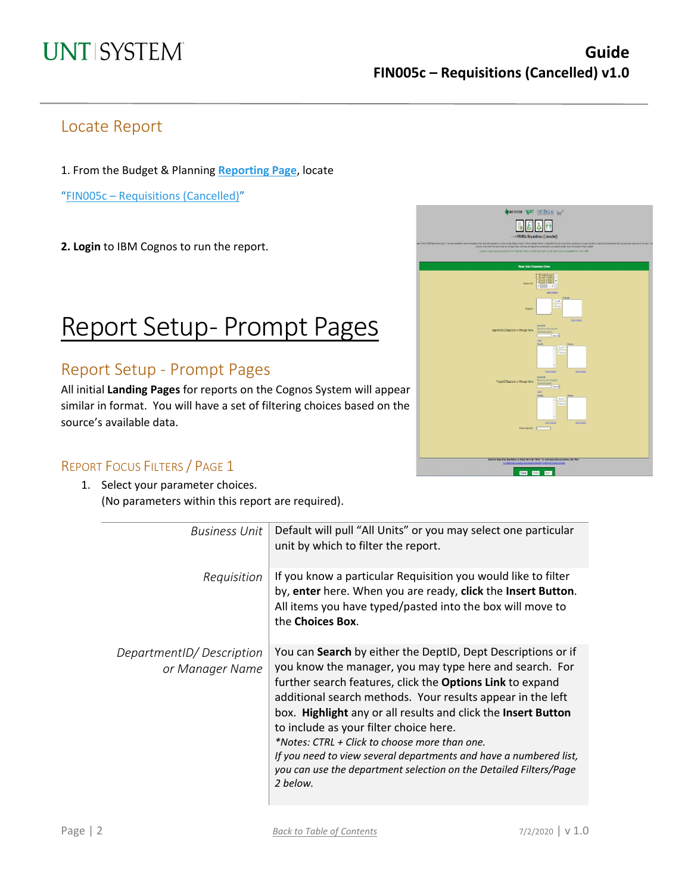### Locate Report

1. From the Budget & Planning **[Reporting Page](https://finance.untsystem.edu/reporting)**, locate

"FIN005c – [Requisitions](https://cognospd.admin.unt.edu/bi/?pathRef=.public_folders%2FUniversity%2Bof%2BNorth%2BTexas%2BSystem%2FPurchasing%2F-----%253EFIN005c%2BRequisitions%2B%2528Cancelled%2529) (Cancelled)"

**2. Login** to IBM Cognos to run the report.

## Report Setup- Prompt Pages

### Report Setup - Prompt Pages

All initial **Landing Pages** for reports on the Cognos System will appear similar in format. You will have a set of filtering choices based on the source's available data.



#### REPORT FOCUS FILTERS / PAGE 1

1. Select your parameter choices. (No parameters within this report are required).

| <b>Business Unit</b>                        | Default will pull "All Units" or you may select one particular<br>unit by which to filter the report.                                                                                                                                                                                                                                                                                                                                                                                                                                                                       |
|---------------------------------------------|-----------------------------------------------------------------------------------------------------------------------------------------------------------------------------------------------------------------------------------------------------------------------------------------------------------------------------------------------------------------------------------------------------------------------------------------------------------------------------------------------------------------------------------------------------------------------------|
| Requisition                                 | If you know a particular Requisition you would like to filter<br>by, enter here. When you are ready, click the Insert Button.<br>All items you have typed/pasted into the box will move to<br>the Choices Box.                                                                                                                                                                                                                                                                                                                                                              |
| DepartmentID/Description<br>or Manager Name | You can Search by either the DeptID, Dept Descriptions or if<br>you know the manager, you may type here and search. For<br>further search features, click the <b>Options Link</b> to expand<br>additional search methods. Your results appear in the left<br>box. Highlight any or all results and click the Insert Button<br>to include as your filter choice here.<br>*Notes: CTRL + Click to choose more than one.<br>If you need to view several departments and have a numbered list,<br>you can use the department selection on the Detailed Filters/Page<br>2 below. |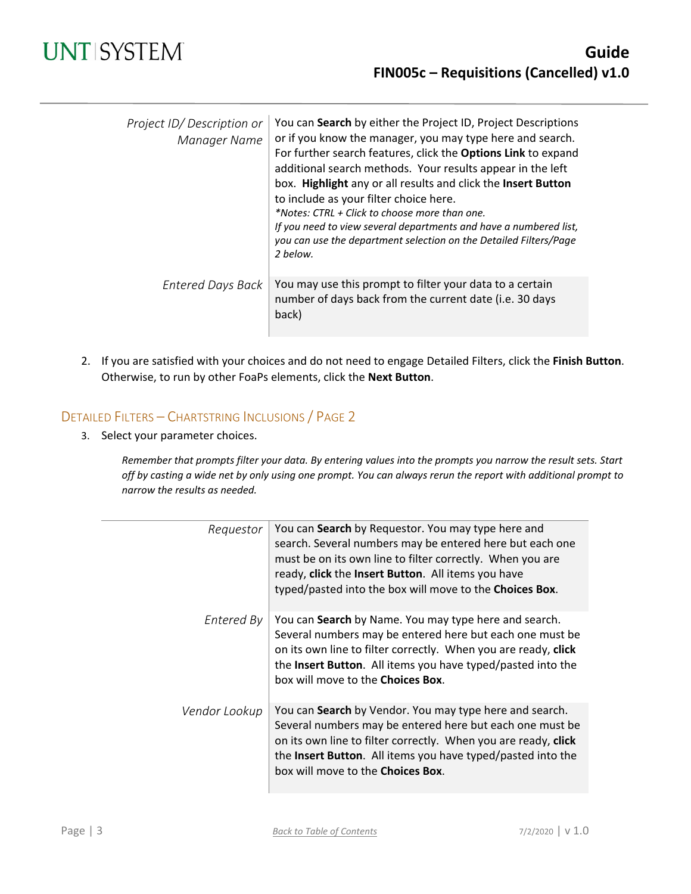| Project ID/Description or<br>Manager Name | You can Search by either the Project ID, Project Descriptions<br>or if you know the manager, you may type here and search.<br>For further search features, click the Options Link to expand<br>additional search methods. Your results appear in the left<br>box. Highlight any or all results and click the Insert Button<br>to include as your filter choice here.<br>*Notes: CTRL + Click to choose more than one.<br>If you need to view several departments and have a numbered list,<br>you can use the department selection on the Detailed Filters/Page<br>2 below. |
|-------------------------------------------|-----------------------------------------------------------------------------------------------------------------------------------------------------------------------------------------------------------------------------------------------------------------------------------------------------------------------------------------------------------------------------------------------------------------------------------------------------------------------------------------------------------------------------------------------------------------------------|
| Entered Days Back                         | You may use this prompt to filter your data to a certain<br>number of days back from the current date (i.e. 30 days<br>back)                                                                                                                                                                                                                                                                                                                                                                                                                                                |

2. If you are satisfied with your choices and do not need to engage Detailed Filters, click the **Finish Button**. Otherwise, to run by other FoaPs elements, click the **Next Button**.

#### DETAILED FILTERS – CHARTSTRING INCLUSIONS / PAGE 2

3. Select your parameter choices.

*Remember that prompts filter your data. By entering values into the prompts you narrow the result sets. Start off by casting a wide net by only using one prompt. You can always rerun the report with additional prompt to narrow the results as needed.*

| Requestor     | You can Search by Requestor. You may type here and<br>search. Several numbers may be entered here but each one<br>must be on its own line to filter correctly. When you are<br>ready, click the Insert Button. All items you have<br>typed/pasted into the box will move to the Choices Box.      |
|---------------|---------------------------------------------------------------------------------------------------------------------------------------------------------------------------------------------------------------------------------------------------------------------------------------------------|
| Entered By    | You can Search by Name. You may type here and search.<br>Several numbers may be entered here but each one must be<br>on its own line to filter correctly. When you are ready, click<br>the Insert Button. All items you have typed/pasted into the<br>box will move to the <b>Choices Box</b> .   |
| Vendor Lookup | You can Search by Vendor. You may type here and search.<br>Several numbers may be entered here but each one must be<br>on its own line to filter correctly. When you are ready, click<br>the Insert Button. All items you have typed/pasted into the<br>box will move to the <b>Choices Box</b> . |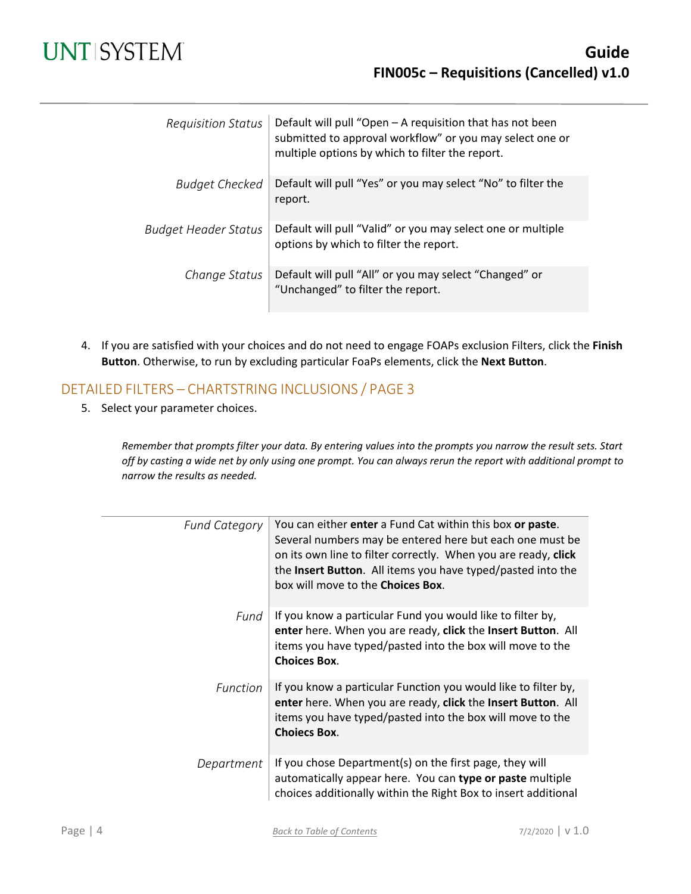## **UNT SYSTEM**

| <b>Requisition Status</b>   | Default will pull "Open - A requisition that has not been<br>submitted to approval workflow" or you may select one or<br>multiple options by which to filter the report. |
|-----------------------------|--------------------------------------------------------------------------------------------------------------------------------------------------------------------------|
| <b>Budget Checked</b>       | Default will pull "Yes" or you may select "No" to filter the<br>report.                                                                                                  |
| <b>Budget Header Status</b> | Default will pull "Valid" or you may select one or multiple<br>options by which to filter the report.                                                                    |
| Change Status               | Default will pull "All" or you may select "Changed" or<br>"Unchanged" to filter the report.                                                                              |

4. If you are satisfied with your choices and do not need to engage FOAPs exclusion Filters, click the **Finish Button**. Otherwise, to run by excluding particular FoaPs elements, click the **Next Button**.

#### DETAILED FILTERS – CHARTSTRING INCLUSIONS / PAGE 3

5. Select your parameter choices.

*Remember that prompts filter your data. By entering values into the prompts you narrow the result sets. Start off by casting a wide net by only using one prompt. You can always rerun the report with additional prompt to narrow the results as needed.*

| <b>Fund Category</b> | You can either enter a Fund Cat within this box or paste.<br>Several numbers may be entered here but each one must be<br>on its own line to filter correctly. When you are ready, click<br>the Insert Button. All items you have typed/pasted into the<br>box will move to the <b>Choices Box</b> . |
|----------------------|-----------------------------------------------------------------------------------------------------------------------------------------------------------------------------------------------------------------------------------------------------------------------------------------------------|
|                      |                                                                                                                                                                                                                                                                                                     |
| Fund                 | If you know a particular Fund you would like to filter by,<br>enter here. When you are ready, click the Insert Button. All<br>items you have typed/pasted into the box will move to the<br><b>Choices Box.</b>                                                                                      |
| <b>Function</b>      | If you know a particular Function you would like to filter by,<br>enter here. When you are ready, click the Insert Button. All<br>items you have typed/pasted into the box will move to the<br><b>Choiecs Box.</b>                                                                                  |
| Department           | If you chose Department(s) on the first page, they will<br>automatically appear here. You can type or paste multiple<br>choices additionally within the Right Box to insert additional                                                                                                              |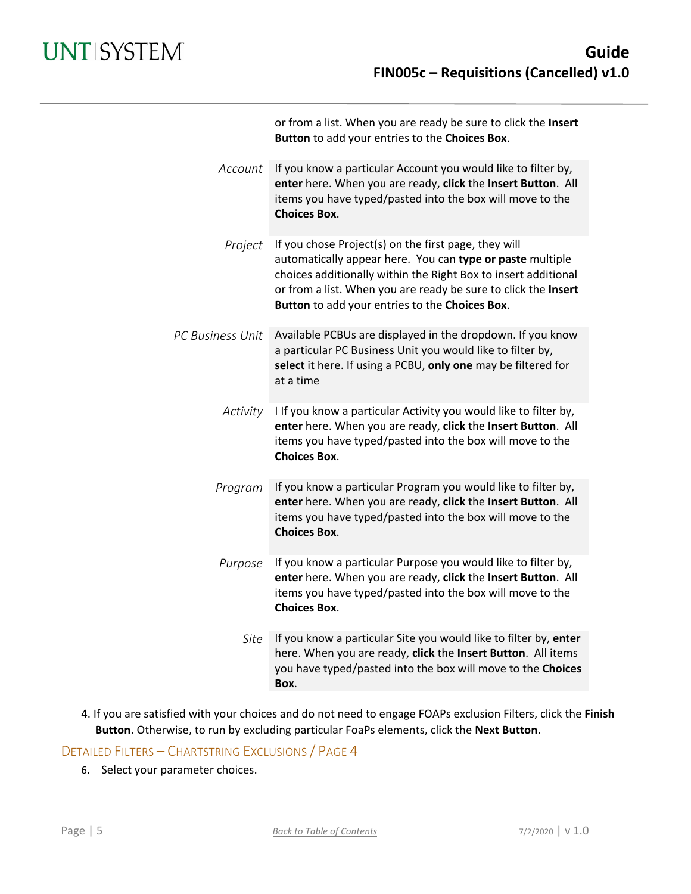|                         | or from a list. When you are ready be sure to click the Insert<br>Button to add your entries to the Choices Box.                                                                                                                                                                                        |
|-------------------------|---------------------------------------------------------------------------------------------------------------------------------------------------------------------------------------------------------------------------------------------------------------------------------------------------------|
| Account                 | If you know a particular Account you would like to filter by,<br>enter here. When you are ready, click the Insert Button. All<br>items you have typed/pasted into the box will move to the<br><b>Choices Box.</b>                                                                                       |
| Project                 | If you chose Project(s) on the first page, they will<br>automatically appear here. You can type or paste multiple<br>choices additionally within the Right Box to insert additional<br>or from a list. When you are ready be sure to click the Insert<br>Button to add your entries to the Choices Box. |
| <b>PC Business Unit</b> | Available PCBUs are displayed in the dropdown. If you know<br>a particular PC Business Unit you would like to filter by,<br>select it here. If using a PCBU, only one may be filtered for<br>at a time                                                                                                  |
| Activity                | I If you know a particular Activity you would like to filter by,<br>enter here. When you are ready, click the Insert Button. All<br>items you have typed/pasted into the box will move to the<br><b>Choices Box.</b>                                                                                    |
| Program                 | If you know a particular Program you would like to filter by,<br>enter here. When you are ready, click the Insert Button. All<br>items you have typed/pasted into the box will move to the<br><b>Choices Box.</b>                                                                                       |
| Purpose                 | If you know a particular Purpose you would like to filter by,<br>enter here. When you are ready, click the Insert Button. All<br>items you have typed/pasted into the box will move to the<br><b>Choices Box.</b>                                                                                       |
| Site                    | If you know a particular Site you would like to filter by, enter<br>here. When you are ready, click the Insert Button. All items<br>you have typed/pasted into the box will move to the Choices<br>Box.                                                                                                 |

4. If you are satisfied with your choices and do not need to engage FOAPs exclusion Filters, click the **Finish Button**. Otherwise, to run by excluding particular FoaPs elements, click the **Next Button**.

DETAILED FILTERS – CHARTSTRING EXCLUSIONS / PAGE 4

6. Select your parameter choices.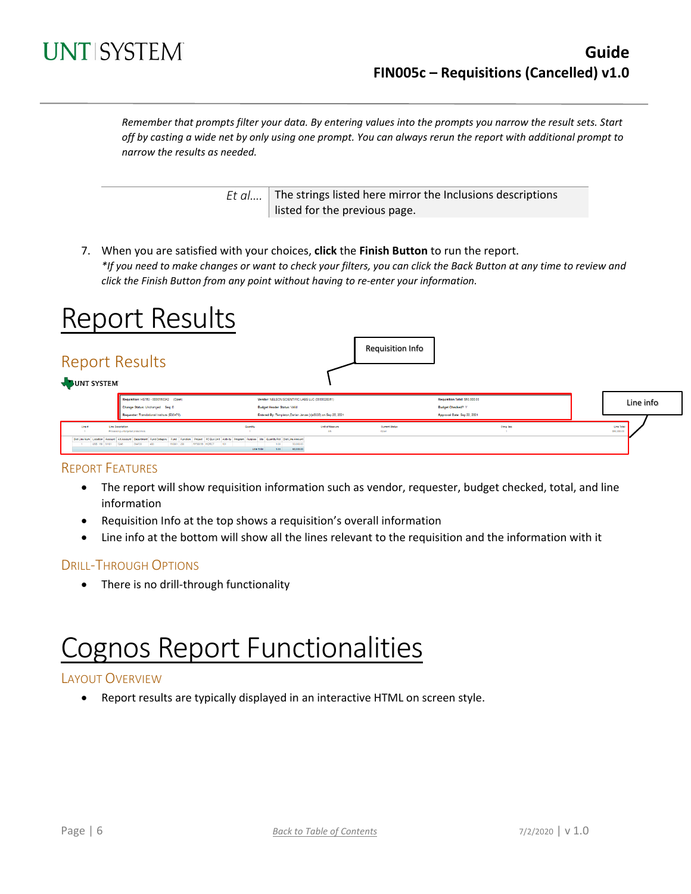

*Remember that prompts filter your data. By entering values into the prompts you narrow the result sets. Start off by casting a wide net by only using one prompt. You can always rerun the report with additional prompt to narrow the results as needed.*

> *Et al....* The strings listed here mirror the Inclusions descriptions listed for the previous page.

7. When you are satisfied with your choices, **click** the **Finish Button** to run the report. *\*If you need to make changes or want to check your filters, you can click the Back Button at any time to review and click the Finish Button from any point without having to re-enter your information.*

## Report Results

| <b>Report Results</b><br>JUNT SYSTEM |                                                                                                                                                                                                                                                                                                                                    |                                                                                                                                    |                       | <b>Requisition Info</b> |                                                            |           |                           |
|--------------------------------------|------------------------------------------------------------------------------------------------------------------------------------------------------------------------------------------------------------------------------------------------------------------------------------------------------------------------------------|------------------------------------------------------------------------------------------------------------------------------------|-----------------------|-------------------------|------------------------------------------------------------|-----------|---------------------------|
|                                      | Requisition: HS783 - 0000150342 (Open)<br>Change Status: Unchanged Seq: 0                                                                                                                                                                                                                                                          | Vendor: NELSON SCIENTIFIC LABS LLC (0000028351)<br><b>Budget Header Status: Valid</b>                                              |                       |                         | Requisition Total: \$50,000.00<br><b>Budget Checked? Y</b> |           | Line info                 |
| Line #<br>USB 190 51101 7248         | Requester: Translational Institute (E30470)<br>Line Desertation<br>Processing untargeted proteomics<br>Dist Line Num Location Account Alt Account Department Fund Category Fund Function Project PC Bus Unit Activity Program Furpose Ste Guantity/Pot Dist Line Amount<br>RESODIE HGRCT<br>304700<br>$-400$<br>190001 200<br>1901 | Entered By: Templeton, Darian Janae (djs0330) on Sep 20, 2021<br>Quantity<br>1.00<br>50,000.00<br>Line Total<br>60,000.00<br>1,00. | Unit of Measure<br>AN | Current Status<br>Open  | Approval Date: Sep 22, 2021                                | Ching Seq | Line Total<br>\$50,000.00 |

#### REPORT FEATURES

- The report will show requisition information such as vendor, requester, budget checked, total, and line information
- Requisition Info at the top shows a requisition's overall information
- Line info at the bottom will show all the lines relevant to the requisition and the information with it

#### DRILL-THROUGH OPTIONS

• There is no drill-through functionality

# Cognos Report Functionalities

#### LAYOUT OVERVIEW

• Report results are typically displayed in an interactive HTML on screen style.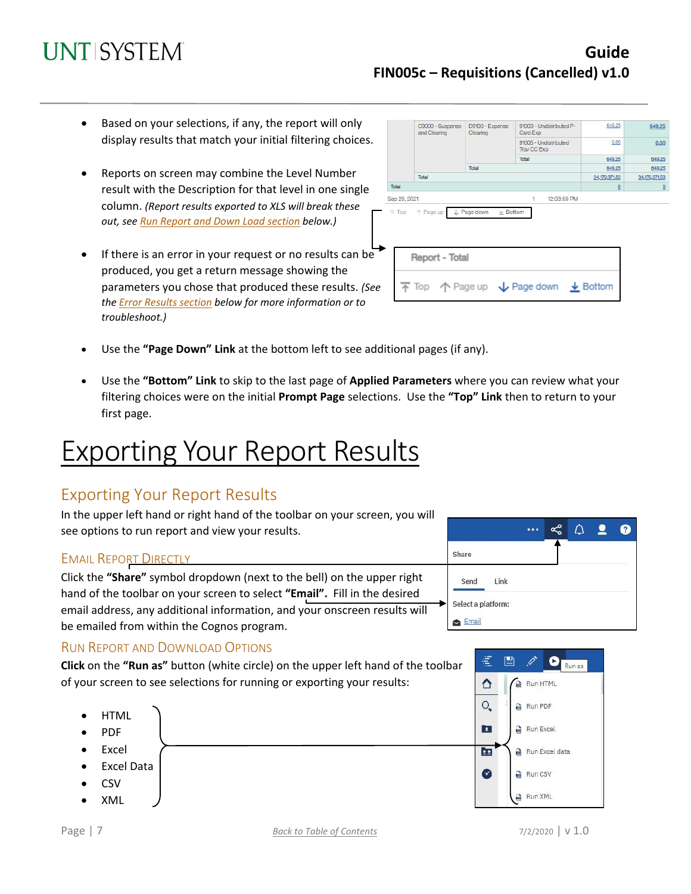## **Guide FIN005c – Requisitions (Cancelled) v1.0**

- Based on your selections, if any, the report will only display results that match your initial filtering choices.
- Reports on screen may combine the Level Number result with the Description for that level in one single column. *(Report results exported to XLS will break these out, see Run Report and Down Load section below.)*
- If there is an error in your request or no results can be produced, you get a return message showing the parameters you chose that produced these results. *(See th[e Error Results section](#page-7-0) below for more information or to troubleshoot.)*

| C9000 - Suspense<br>and Clearing |                                            | D9100 - Expense<br>91003 - Undistributed P-<br>Clearing<br>Card Exp |                                                                                         | 649.25                  | 649.25          |
|----------------------------------|--------------------------------------------|---------------------------------------------------------------------|-----------------------------------------------------------------------------------------|-------------------------|-----------------|
|                                  |                                            | 91005 - Undistributed<br>Trav CC Exp                                | 0.00                                                                                    | 0.00                    |                 |
|                                  |                                            |                                                                     | Total                                                                                   | 649.25                  | 649.25          |
|                                  |                                            | Total                                                               |                                                                                         | 649.25                  | 649.25          |
|                                  | Total                                      |                                                                     |                                                                                         | 34,170,371.53           | 34, 170, 371.53 |
| Total                            |                                            |                                                                     |                                                                                         | $\overline{\mathbf{0}}$ | $\Omega$        |
| Sep 29, 2021                     |                                            |                                                                     | 1<br>12:03:59 PM                                                                        |                         |                 |
|                                  | $\overline{\wedge}$ Top $\uparrow$ Page up | $\downarrow$ Page down<br>$\times$ Bottom                           |                                                                                         |                         |                 |
|                                  | <b>Report - Total</b>                      |                                                                     |                                                                                         |                         |                 |
|                                  |                                            |                                                                     | $\overline{\uparrow}$ Top $\uparrow$ Page up $\downarrow$ Page down $\downarrow$ Bottom |                         |                 |

- Use the **"Page Down" Link** at the bottom left to see additional pages (if any).
- Use the **"Bottom" Link** to skip to the last page of **Applied Parameters** where you can review what your filtering choices were on the initial **Prompt Page** selections. Use the **"Top" Link** then to return to your first page.

# Exporting Your Report Results

## Exporting Your Report Results

In the upper left hand or right hand of the toolbar on your screen, you will see options to run report and view your results.

#### **EMAIL REPORT DIRECTLY**

Click the **"Share"** symbol dropdown (next to the bell) on the upper right hand of the toolbar on your screen to select **"Email".** Fill in the desired email address, any additional information, and your onscreen results will be emailed from within the Cognos program.

## RUN REPORT AND DOWNLOAD OPTIONS

**Click** on the **"Run as"** button (white circle) on the upper left hand of the toolbar of your screen to see selections for running or exporting your results:





€

ᅀ

圕

**A** Run HTML